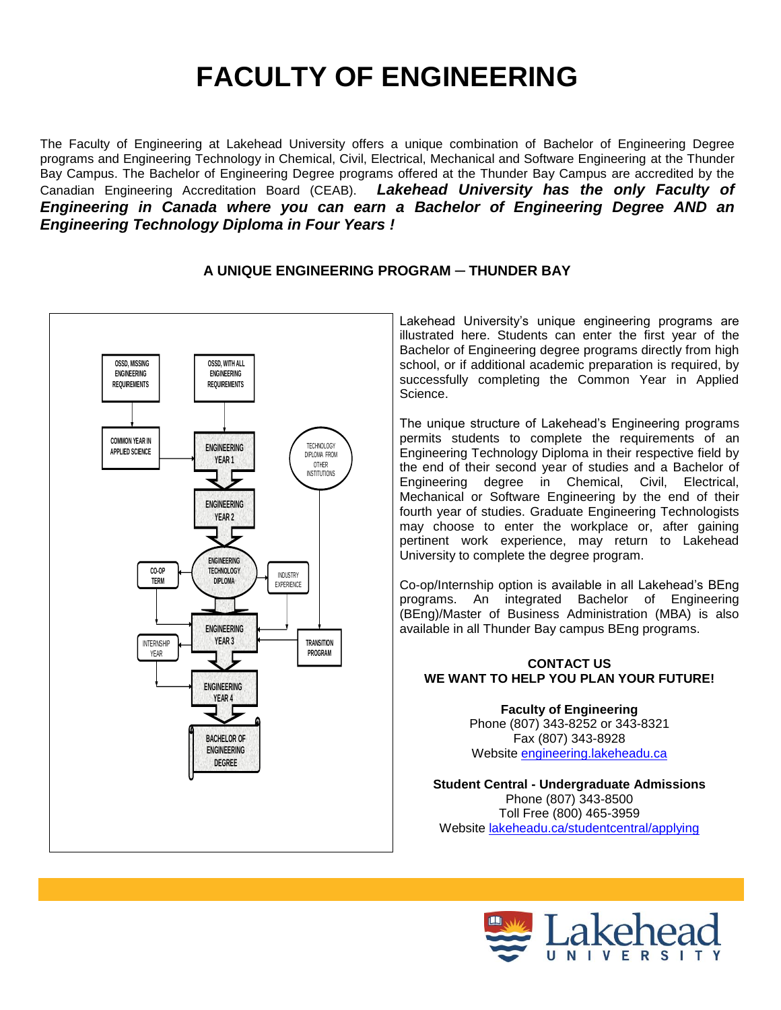# **FACULTY OF ENGINEERING**

The Faculty of Engineering at Lakehead University offers a unique combination of Bachelor of Engineering Degree programs and Engineering Technology in Chemical, Civil, Electrical, Mechanical and Software Engineering at the Thunder Bay Campus. The Bachelor of Engineering Degree programs offered at the Thunder Bay Campus are accredited by the Canadian Engineering Accreditation Board (CEAB). *Lakehead University has the only Faculty of Engineering in Canada where you can earn a Bachelor of Engineering Degree AND an Engineering Technology Diploma in Four Years !*



# **A UNIQUE ENGINEERING PROGRAM ─ THUNDER BAY**

Lakehead University's unique engineering programs are illustrated here. Students can enter the first year of the Bachelor of Engineering degree programs directly from high school, or if additional academic preparation is required, by successfully completing the Common Year in Applied Science.

The unique structure of Lakehead's Engineering programs permits students to complete the requirements of an Engineering Technology Diploma in their respective field by the end of their second year of studies and a Bachelor of Engineering degree in Chemical, Civil, Electrical, Mechanical or Software Engineering by the end of their fourth year of studies. Graduate Engineering Technologists may choose to enter the workplace or, after gaining pertinent work experience, may return to Lakehead University to complete the degree program.

Co-op/Internship option is available in all Lakehead's BEng programs. An integrated Bachelor of Engineering (BEng)/Master of Business Administration (MBA) is also available in all Thunder Bay campus BEng programs.

# **CONTACT US WE WANT TO HELP YOU PLAN YOUR FUTURE!**

**Faculty of Engineering** Phone (807) 343-8252 or 343-8321 Fax (807) 343-8928 Websit[e engineering.lakeheadu.ca](http://engineering.lakeheadu.ca/)

**Student Central - Undergraduate Admissions** Phone (807) 343-8500 Toll Free (800) 465-3959 Website [lakeheadu.ca/studentcentral/applying](http://www.lakeheadu.ca/studentcentral/applying)

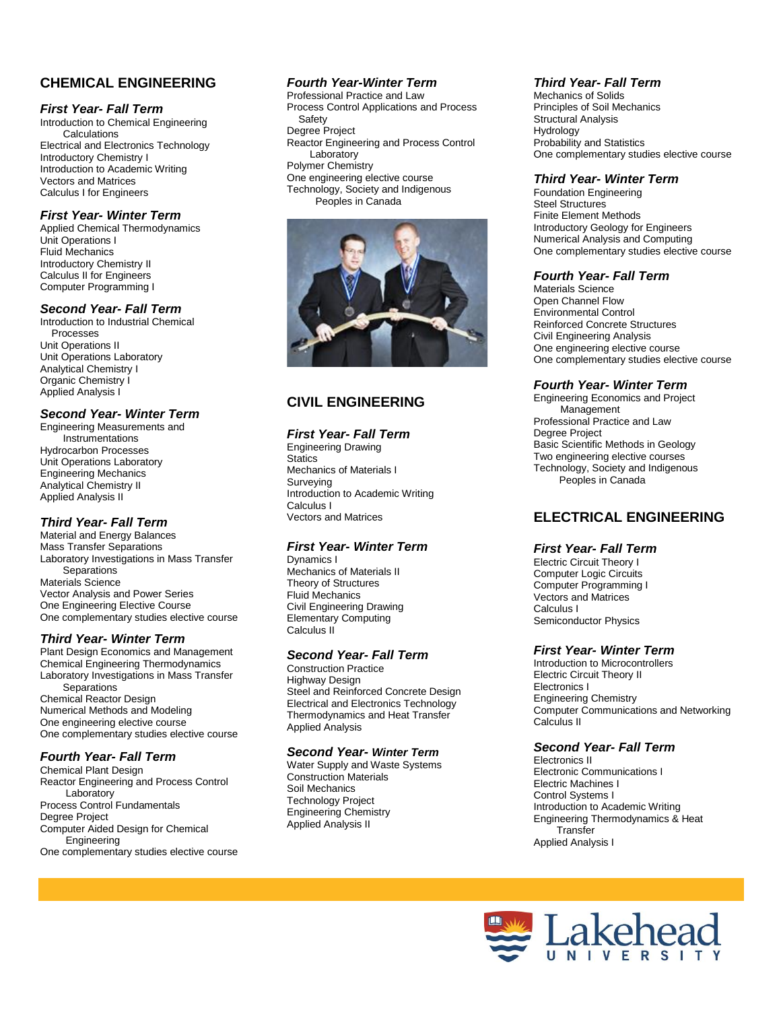# **CHEMICAL ENGINEERING**

#### *First Year- Fall Term*

Introduction to Chemical Engineering **Calculations** Electrical and Electronics Technology Introductory Chemistry I Introduction to Academic Writing Vectors and Matrices Calculus I for Engineers

#### *First Year- Winter Term*

Applied Chemical Thermodynamics Unit Operations I Fluid Mechanics Introductory Chemistry II Calculus II for Engineers Computer Programming I

#### *Second Year- Fall Term*

Introduction to Industrial Chemical Processes Unit Operations II Unit Operations Laboratory Analytical Chemistry I Organic Chemistry I Applied Analysis I

#### *Second Year- Winter Term*

Engineering Measurements and Instrumentations Hydrocarbon Processes Unit Operations Laboratory Engineering Mechanics Analytical Chemistry II Applied Analysis II

## *Third Year- Fall Term*

Material and Energy Balances Mass Transfer Separations Laboratory Investigations in Mass Transfer **Separations** Materials Science Vector Analysis and Power Series One Engineering Elective Course One complementary studies elective course

#### *Third Year- Winter Term*

Plant Design Economics and Management Chemical Engineering Thermodynamics Laboratory Investigations in Mass Transfer **Separations** Chemical Reactor Design Numerical Methods and Modeling One engineering elective course

One complementary studies elective course

#### *Fourth Year- Fall Term*

Chemical Plant Design Reactor Engineering and Process Control **Laboratory** Process Control Fundamentals Degree Project Computer Aided Design for Chemical **Engineering** One complementary studies elective course

#### *Fourth Year-Winter Term*

Professional Practice and Law Process Control Applications and Process Safety Degree Project Reactor Engineering and Process Control **Laboratory** Polymer Chemistry One engineering elective course Technology, Society and Indigenous Peoples in Canada



# **CIVIL ENGINEERING**

#### *First Year- Fall Term*

Engineering Drawing **Statics** Mechanics of Materials I **Surveying** Introduction to Academic Writing Calculus I Vectors and Matrices

#### *First Year- Winter Term*

Dynamics I Mechanics of Materials II Theory of Structures Fluid Mechanics Civil Engineering Drawing Elementary Computing Calculus II

#### *Second Year- Fall Term*

Construction Practice Highway Design Steel and Reinforced Concrete Design Electrical and Electronics Technology Thermodynamics and Heat Transfer Applied Analysis

#### *Second Year- Winter Term*

Water Supply and Waste Systems Construction Materials Soil Mechanics Technology Project Engineering Chemistry Applied Analysis II

#### *Third Year- Fall Term*

Mechanics of Solids Principles of Soil Mechanics Structural Analysis Hydrology Probability and Statistics One complementary studies elective course

#### *Third Year- Winter Term*

Foundation Engineering Steel Structures Finite Element Methods Introductory Geology for Engineers Numerical Analysis and Computing One complementary studies elective course

#### *Fourth Year- Fall Term*

Materials Science Open Channel Flow Environmental Control Reinforced Concrete Structures Civil Engineering Analysis One engineering elective course One complementary studies elective course

#### *Fourth Year- Winter Term*

Engineering Economics and Project Management Professional Practice and Law Degree Project Basic Scientific Methods in Geology Two engineering elective courses Technology, Society and Indigenous Peoples in Canada

# **ELECTRICAL ENGINEERING**

#### *First Year- Fall Term*

Electric Circuit Theory I Computer Logic Circuits Computer Programming I Vectors and Matrices Calculus I Semiconductor Physics

#### *First Year- Winter Term*

Introduction to Microcontrollers Electric Circuit Theory II Electronics I Engineering Chemistry Computer Communications and Networking Calculus II

#### *Second Year- Fall Term*

Electronics II Electronic Communications I Electric Machines I Control Systems I Introduction to Academic Writing Engineering Thermodynamics & Heat **Transfer** Applied Analysis I

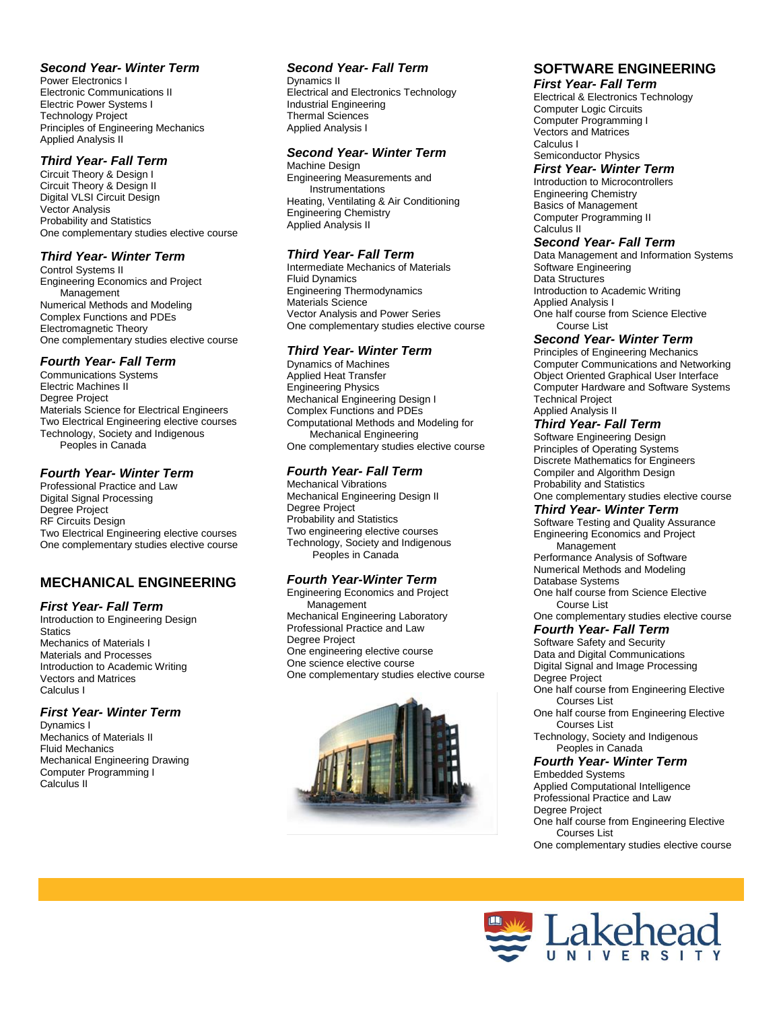#### *Second Year- Winter Term*

Power Electronics I Electronic Communications II Electric Power Systems I Technology Project Principles of Engineering Mechanics Applied Analysis II

#### *Third Year- Fall Term*

Circuit Theory & Design I Circuit Theory & Design II Digital VLSI Circuit Design Vector Analysis Probability and Statistics One complementary studies elective course

### *Third Year- Winter Term*

Control Systems II Engineering Economics and Project Management Numerical Methods and Modeling Complex Functions and PDEs Electromagnetic Theory One complementary studies elective course

### *Fourth Year- Fall Term*

Communications Systems Electric Machines II Degree Project Materials Science for Electrical Engineers Two Electrical Engineering elective courses Technology, Society and Indigenous Peoples in Canada

#### *Fourth Year- Winter Term*

Professional Practice and Law Digital Signal Processing Degree Project RF Circuits Design Two Electrical Engineering elective courses One complementary studies elective course

# **MECHANICAL ENGINEERING**

#### *First Year- Fall Term*

Introduction to Engineering Design **Statics** Mechanics of Materials I Materials and Processes Introduction to Academic Writing Vectors and Matrices Calculus I

#### *First Year- Winter Term*

Dynamics I Mechanics of Materials II Fluid Mechanics Mechanical Engineering Drawing Computer Programming I Calculus II

#### *Second Year- Fall Term*

Dynamics II Electrical and Electronics Technology Industrial Engineering Thermal Sciences Applied Analysis I

#### *Second Year- Winter Term*

Machine Design Engineering Measurements and **Instrumentations** Heating, Ventilating & Air Conditioning Engineering Chemistry Applied Analysis II

#### *Third Year- Fall Term*

Intermediate Mechanics of Materials Fluid Dynamics Engineering Thermodynamics Materials Science Vector Analysis and Power Series One complementary studies elective course

#### *Third Year- Winter Term*

Dynamics of Machines Applied Heat Transfer Engineering Physics Mechanical Engineering Design I Complex Functions and PDEs Computational Methods and Modeling for Mechanical Engineering One complementary studies elective course

#### *Fourth Year- Fall Term*

Mechanical Vibrations Mechanical Engineering Design II Degree Project Probability and Statistics Two engineering elective courses Technology, Society and Indigenous Peoples in Canada

#### *Fourth Year-Winter Term*

Engineering Economics and Project Management Mechanical Engineering Laboratory Professional Practice and Law Degree Project One engineering elective course One science elective course One complementary studies elective course



#### **SOFTWARE ENGINEERING** *First Year- Fall Term*

Electrical & Electronics Technology Computer Logic Circuits Computer Programming I Vectors and Matrices Calculus I Semiconductor Physics

#### *First Year- Winter Term*

Introduction to Microcontrollers Engineering Chemistry Basics of Management Computer Programming II Calculus II

#### *Second Year- Fall Term*

Data Management and Information Systems Software Engineering Data Structures Introduction to Academic Writing Applied Analysis I One half course from Science Elective Course List

#### *Second Year- Winter Term*

Principles of Engineering Mechanics Computer Communications and Networking Object Oriented Graphical User Interface Computer Hardware and Software Systems Technical Project Applied Analysis II

#### *Third Year- Fall Term*

Software Engineering Design Principles of Operating Systems Discrete Mathematics for Engineers Compiler and Algorithm Design Probability and Statistics One complementary studies elective course

#### *Third Year- Winter Term*

Software Testing and Quality Assurance Engineering Economics and Project Management

Performance Analysis of Software Numerical Methods and Modeling

Database Systems

One half course from Science Elective Course List

One complementary studies elective course *Fourth Year- Fall Term*

Software Safety and Security Data and Digital Communications Digital Signal and Image Processing Degree Project One half course from Engineering Elective Courses List

One half course from Engineering Elective Courses List

Technology, Society and Indigenous Peoples in Canada

# *Fourth Year- Winter Term*

Embedded Systems Applied Computational Intelligence Professional Practice and Law Degree Project One half course from Engineering Elective Courses List One complementary studies elective course